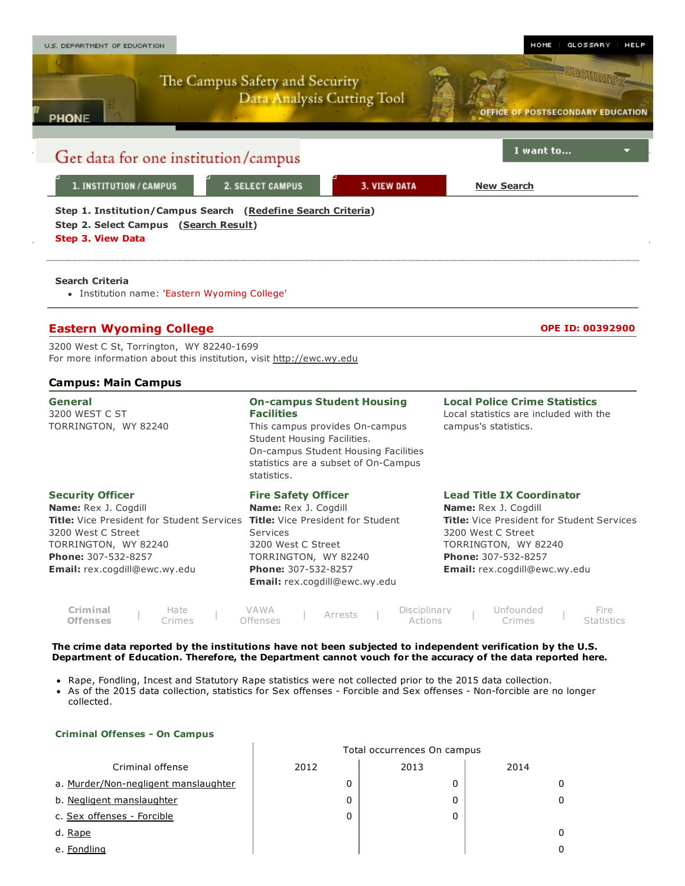

- Rape, Fondling, Incest and Statutory Rape statistics were not collected prior to the 2015 data collection.
- As of the 2015 data collection, statistics for Sex offenses Forcible and Sex offenses Non-forcible are no longer collected.

## Criminal Offenses - On Campus

|                                      | Total occurrences On campus |      |      |  |  |  |  |  |
|--------------------------------------|-----------------------------|------|------|--|--|--|--|--|
| Criminal offense                     | 2012                        | 2013 | 2014 |  |  |  |  |  |
| a. Murder/Non-negligent manslaughter | 0                           | 0    |      |  |  |  |  |  |
| b. Negligent manslaughter            | 0                           | 0    |      |  |  |  |  |  |
| c. Sex offenses - Forcible           | 0                           | 0    |      |  |  |  |  |  |
| d. Rape                              |                             |      |      |  |  |  |  |  |
| e. Fondling                          |                             |      |      |  |  |  |  |  |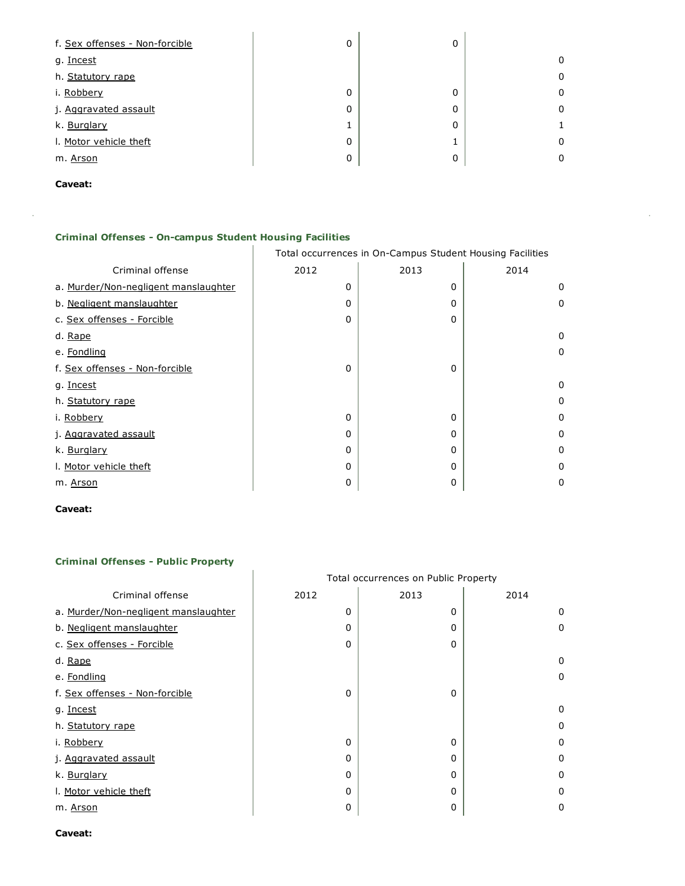| f. Sex offenses - Non-forcible | 0 | 0       |   |
|--------------------------------|---|---------|---|
| g. Incest                      |   |         | 0 |
| h. Statutory rape              |   |         | 0 |
| i. Robbery                     | 0 | 0       | 0 |
| j. Aggravated assault          | 0 | 0       | 0 |
| k. Burglary                    |   | 0       |   |
| I. Motor vehicle theft         | 0 | и<br>Ŧ. | 0 |
| m. Arson                       | 0 | 0       | 0 |

J



ł,

# Criminal Offenses - On-campus Student Housing Facilities

|                                      | Total occurrences in On-Campus Student Housing Facilities |      |          |  |  |  |  |  |
|--------------------------------------|-----------------------------------------------------------|------|----------|--|--|--|--|--|
| Criminal offense                     | 2012                                                      | 2013 | 2014     |  |  |  |  |  |
| a. Murder/Non-negligent manslaughter | 0                                                         | 0    | 0        |  |  |  |  |  |
| b. Negligent manslaughter            | 0                                                         | 0    | 0        |  |  |  |  |  |
| c. Sex offenses - Forcible           | 0                                                         | 0    |          |  |  |  |  |  |
| d. Rape                              |                                                           |      | 0        |  |  |  |  |  |
| e. Fondling                          |                                                           |      | 0        |  |  |  |  |  |
| f. Sex offenses - Non-forcible       | 0                                                         | 0    |          |  |  |  |  |  |
| g. Incest                            |                                                           |      | $\Omega$ |  |  |  |  |  |
| h. Statutory rape                    |                                                           |      | 0        |  |  |  |  |  |
| i. Robbery                           | 0                                                         | 0    | 0        |  |  |  |  |  |
| j. Aggravated assault                | 0                                                         | 0    | 0        |  |  |  |  |  |
| k. Burglary                          | 0                                                         | 0    | 0        |  |  |  |  |  |
| I. Motor vehicle theft               | 0                                                         | 0    | 0        |  |  |  |  |  |
| m. Arson                             | 0                                                         | 0    | 0        |  |  |  |  |  |

## Caveat:

# **Criminal Offenses - Public Property**

|                                      | Total occurrences on Public Property |      |      |  |  |  |  |
|--------------------------------------|--------------------------------------|------|------|--|--|--|--|
| Criminal offense                     | 2012                                 | 2013 | 2014 |  |  |  |  |
| a. Murder/Non-negligent manslaughter | 0                                    | 0    | 0    |  |  |  |  |
| b. Negligent manslaughter            | $\Omega$                             | 0    | 0    |  |  |  |  |
| c. Sex offenses - Forcible           | 0                                    | 0    |      |  |  |  |  |
| d. Rape                              |                                      |      | 0    |  |  |  |  |
| e. Fondling                          |                                      |      | 0    |  |  |  |  |
| f. Sex offenses - Non-forcible       | $\Omega$                             | 0    |      |  |  |  |  |
| g. Incest                            |                                      |      | 0    |  |  |  |  |
| h. Statutory rape                    |                                      |      | 0    |  |  |  |  |
| i. Robbery                           | 0                                    | 0    | 0    |  |  |  |  |
| j. Aggravated assault                | 0                                    | 0    | 0    |  |  |  |  |
| k. Burglary                          | $\Omega$                             | 0    | 0    |  |  |  |  |
| I. Motor vehicle theft               | 0                                    | 0    | 0    |  |  |  |  |
| m. <u>Arson</u>                      | 0                                    | 0    | 0    |  |  |  |  |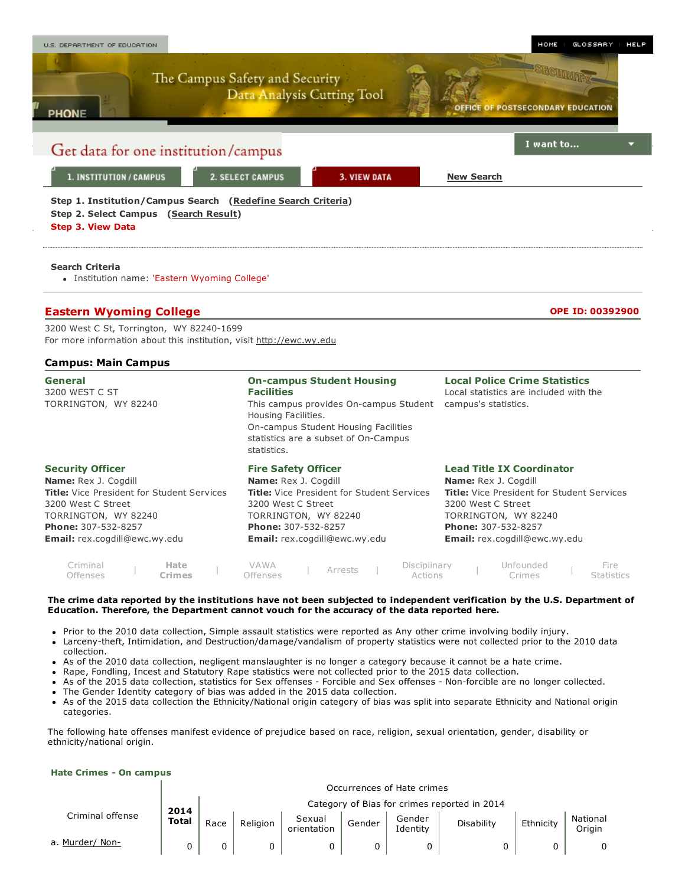

| iminal   | Hate   | VAWA     | Arrests | Disciplinary | Unfounded     | Fire              |
|----------|--------|----------|---------|--------------|---------------|-------------------|
| Offenses | Lrimes | Offenses |         | Actions      | <b>Crimes</b> | <b>Statistics</b> |
|          |        |          |         |              |               |                   |

Prior to the 2010 data collection, Simple assault statistics were reported as Any other crime involving bodily injury.

- Larceny-theft, Intimidation, and Destruction/damage/vandalism of property statistics were not collected prior to the 2010 data  $\bullet$ collection.
- As of the 2010 data collection, negligent manslaughter is no longer a category because it cannot be a hate crime.
- Rape, Fondling, Incest and Statutory Rape statistics were not collected prior to the 2015 data collection.
- As of the 2015 data collection, statistics for Sex offenses Forcible and Sex offenses Non-forcible are no longer collected.
- The Gender Identity category of bias was added in the 2015 data collection.
- $\bullet$ As of the 2015 data collection the Ethnicity/National origin category of bias was split into separate Ethnicity and National origin categories.

The following hate offenses manifest evidence of prejudice based on race, religion, sexual orientation, gender, disability or ethnicity/national origin.

#### Hate Crimes - On campus

 $\mathbf{I}$ 

|                  |              | Occurrences of Hate crimes                   |          |                       |        |                    |                   |           |                    |  |  |  |
|------------------|--------------|----------------------------------------------|----------|-----------------------|--------|--------------------|-------------------|-----------|--------------------|--|--|--|
|                  | 2014         | Category of Bias for crimes reported in 2014 |          |                       |        |                    |                   |           |                    |  |  |  |
| Criminal offense | <b>Total</b> | Race                                         | Religion | Sexual<br>orientation | Gender | Gender<br>Identity | <b>Disability</b> | Ethnicity | National<br>Origin |  |  |  |
| a. Murder/ Non-  |              |                                              |          |                       |        |                    |                   |           |                    |  |  |  |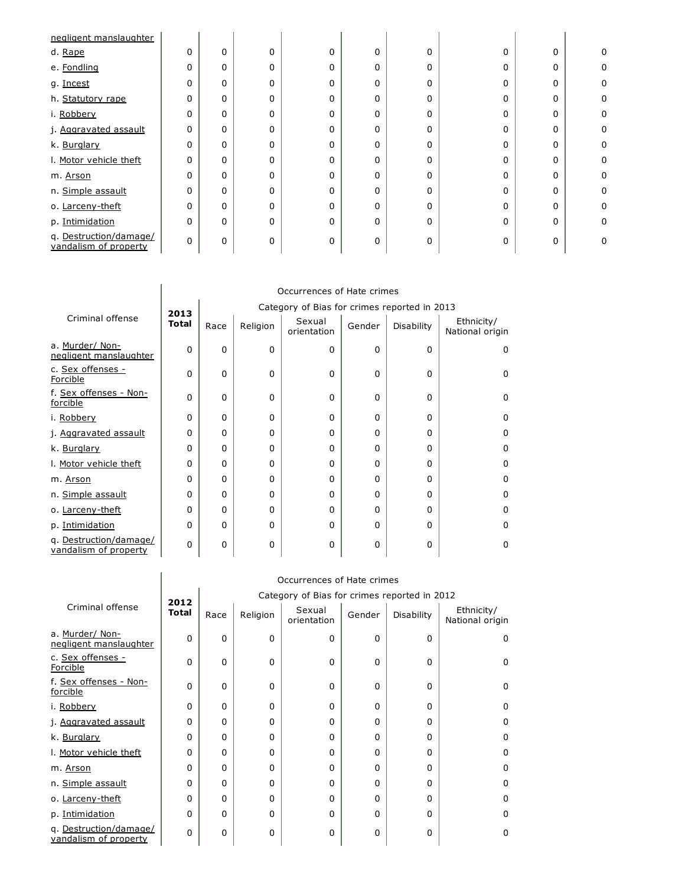| negligent manslaughter                          |          |          |          |   |          |          |              |          |   |
|-------------------------------------------------|----------|----------|----------|---|----------|----------|--------------|----------|---|
| d. Rape                                         | 0        | $\Omega$ | 0        | 0 | 0        | 0        | $\Omega$     | $\Omega$ | 0 |
| e. Fondling                                     | 0        | $\Omega$ | 0        | 0 | $\Omega$ | 0        | <sup>n</sup> | 0        | 0 |
| g. Incest                                       | 0        | $\Omega$ | 0        | 0 | 0        | O        |              | 0        | 0 |
| h. Statutory rape                               | 0        | $\Omega$ | $\Omega$ | 0 | 0        | 0        |              | 0        | 0 |
| i. Robbery                                      | $\Omega$ | $\Omega$ | $\Omega$ | 0 | $\Omega$ | O        | <sup>0</sup> | 0        | 0 |
| j. Aggravated assault                           | 0        | $\Omega$ | 0        | 0 | 0        | 0        |              | 0        | 0 |
| k. Burglary                                     | 0        | $\Omega$ | $\Omega$ | O | $\Omega$ | O        |              | $\Omega$ | 0 |
| I. Motor vehicle theft                          | 0        | $\Omega$ | $\Omega$ | 0 | 0        | $\Omega$ | <sup>0</sup> | 0        | 0 |
| m. Arson                                        | 0        | $\Omega$ | $\Omega$ | U | 0        | 0        |              | 0        | 0 |
| n. Simple assault                               | 0        | $\Omega$ | $\Omega$ | O | 0        | $\Omega$ |              | 0        | 0 |
| o. Larceny-theft                                | 0        | $\Omega$ | 0        | 0 | 0        | 0        | U            | 0        | 0 |
| p. Intimidation                                 | 0        | $\Omega$ | $\Omega$ | 0 | $\Omega$ | $\Omega$ |              | 0        | 0 |
| q. Destruction/damage/<br>vandalism of property | 0        | $\Omega$ | 0        | 0 | 0        | 0        |              | 0        |   |

|                                                 | Occurrences of Hate crimes |                                              |          |                       |          |            |                               |  |  |
|-------------------------------------------------|----------------------------|----------------------------------------------|----------|-----------------------|----------|------------|-------------------------------|--|--|
|                                                 | 2013                       | Category of Bias for crimes reported in 2013 |          |                       |          |            |                               |  |  |
| Criminal offense                                | <b>Total</b>               | Race                                         | Religion | Sexual<br>orientation | Gender   | Disability | Ethnicity/<br>National origin |  |  |
| a. Murder/ Non-<br>negligent manslaughter       | $\Omega$                   | $\Omega$                                     | $\Omega$ | 0                     | $\Omega$ | $\Omega$   | 0                             |  |  |
| c. Sex offenses -<br>Forcible                   | $\Omega$                   | $\Omega$                                     | $\Omega$ | 0                     | 0        | 0          | 0                             |  |  |
| f. Sex offenses - Non-<br>forcible              | $\Omega$                   | $\Omega$                                     | $\Omega$ | 0                     | $\Omega$ | $\Omega$   | 0                             |  |  |
| i. Robbery                                      | 0                          | 0                                            | $\Omega$ | $\Omega$              | 0        | $\Omega$   | 0                             |  |  |
| j. Aggravated assault                           | 0                          | 0                                            | $\Omega$ | 0                     | $\Omega$ | 0          | 0                             |  |  |
| k. Burglary                                     | $\Omega$                   | 0                                            | 0        | 0                     | 0        | 0          | 0                             |  |  |
| I. Motor vehicle theft                          | $\Omega$                   | $\Omega$                                     | $\Omega$ | 0                     | 0        | 0          | 0                             |  |  |
| m. Arson                                        | 0                          | 0                                            | $\Omega$ | O                     | 0        | 0          | 0                             |  |  |
| n. Simple assault                               | $\Omega$                   | 0                                            | 0        | $\Omega$              | 0        | $\Omega$   | n                             |  |  |
| o. Larceny-theft                                | $\Omega$                   | 0                                            | $\Omega$ | $\Omega$              | $\Omega$ | $\Omega$   | 0                             |  |  |
| p. Intimidation                                 | $\Omega$                   | $\Omega$                                     | $\Omega$ | 0                     | $\Omega$ | 0          | 0                             |  |  |
| q. Destruction/damage/<br>vandalism of property | $\Omega$                   | $\Omega$                                     | 0        | 0                     | 0        | 0          | 0                             |  |  |

|                                                 | Occurrences of Hate crimes |          |          |                                              |          |            |                               |  |  |  |  |
|-------------------------------------------------|----------------------------|----------|----------|----------------------------------------------|----------|------------|-------------------------------|--|--|--|--|
|                                                 | 2012                       |          |          | Category of Bias for crimes reported in 2012 |          |            |                               |  |  |  |  |
| Criminal offense                                | Total                      | Race     | Religion | Sexual<br>orientation                        | Gender   | Disability | Ethnicity/<br>National origin |  |  |  |  |
| a. Murder/ Non-<br>negligent manslaughter       | $\mathbf 0$                | $\Omega$ | 0        | $\Omega$                                     | $\Omega$ | $\Omega$   | 0                             |  |  |  |  |
| c. Sex offenses -<br>Forcible                   | 0                          | $\Omega$ | 0        | $\Omega$                                     | 0        | $\Omega$   | 0                             |  |  |  |  |
| f. Sex offenses - Non-<br>forcible              | $\Omega$                   | $\Omega$ | 0        | 0                                            | $\Omega$ | $\Omega$   | 0                             |  |  |  |  |
| i. Robbery                                      | $\mathbf 0$                | 0        | 0        | O                                            | 0        | $\Omega$   | U                             |  |  |  |  |
| j. Aggravated assault                           | 0                          | 0        | 0        | 0                                            | $\Omega$ | $\Omega$   | U                             |  |  |  |  |
| k. Burglary                                     | 0                          | 0        | 0        | 0                                            | $\Omega$ | U          |                               |  |  |  |  |
| I. Motor vehicle theft                          | 0                          | 0        | 0        | 0                                            | $\Omega$ | $\Omega$   | n                             |  |  |  |  |
| m. Arson                                        | 0                          | $\Omega$ | 0        | 0                                            | $\Omega$ | $\Omega$   | 0                             |  |  |  |  |
| n. Simple assault                               | 0                          | $\Omega$ | 0        | $\Omega$                                     | $\Omega$ | $\Omega$   | U                             |  |  |  |  |
| o. Larceny-theft                                | 0                          | 0        | 0        | 0                                            | 0        | $\Omega$   | o                             |  |  |  |  |
| p. Intimidation                                 | 0                          | 0        | 0        | 0                                            | $\Omega$ | $\Omega$   | n                             |  |  |  |  |
| q. Destruction/damage/<br>vandalism of property | 0                          | 0        | 0        | 0                                            | 0        | $\Omega$   |                               |  |  |  |  |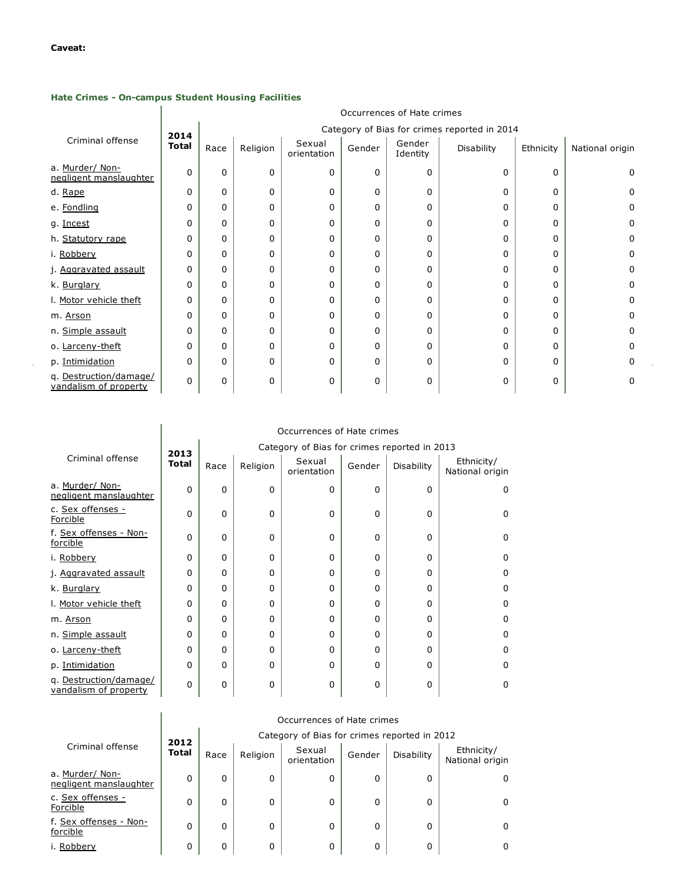$\sim$ 

# Hate Crimes - On-campus Student Housing Facilities

 $\mathbb{R}$ 

|                                                 |              | Occurrences of Hate crimes                   |          |                       |          |                    |            |           |                 |  |  |  |  |
|-------------------------------------------------|--------------|----------------------------------------------|----------|-----------------------|----------|--------------------|------------|-----------|-----------------|--|--|--|--|
|                                                 | 2014         | Category of Bias for crimes reported in 2014 |          |                       |          |                    |            |           |                 |  |  |  |  |
| Criminal offense                                | <b>Total</b> | Race                                         | Religion | Sexual<br>orientation | Gender   | Gender<br>Identity | Disability | Ethnicity | National origin |  |  |  |  |
| a. Murder/ Non-<br>negligent manslaughter       | 0            | $\Omega$                                     | 0        | 0                     | $\Omega$ | 0                  | 0          | 0         | 0               |  |  |  |  |
| d. Rape                                         | 0            | $\Omega$                                     | 0        | 0                     | $\Omega$ | 0                  | 0          | 0         | 0               |  |  |  |  |
| e. Fondling                                     | 0            | 0                                            | 0        | 0                     | 0        | 0                  | 0          | 0         | 0               |  |  |  |  |
| g. Incest                                       | 0            | $\Omega$                                     | 0        | 0                     | $\Omega$ | 0                  | 0          | 0         | 0               |  |  |  |  |
| h. Statutory rape                               | 0            | 0                                            | 0        | 0                     | $\Omega$ | 0                  | 0          | 0         | 0               |  |  |  |  |
| i. Robbery                                      | 0            | $\Omega$                                     | 0        | 0                     | $\Omega$ | 0                  | 0          | 0         | 0               |  |  |  |  |
| j. Aggravated assault                           | 0            | 0                                            | 0        | 0                     | $\Omega$ | 0                  | 0          | 0         | 0               |  |  |  |  |
| k. Burglary                                     | 0            | $\Omega$                                     | 0        | 0                     | 0        | 0                  | 0          | 0         | 0               |  |  |  |  |
| I. Motor vehicle theft                          | 0            | 0                                            | 0        | 0                     | $\Omega$ | 0                  | 0          | 0         | 0               |  |  |  |  |
| m. Arson                                        | 0            | $\Omega$                                     | 0        | 0                     | $\Omega$ | 0                  | 0          | 0         | 0               |  |  |  |  |
| n. Simple assault                               | 0            | 0                                            | 0        | 0                     | $\Omega$ | 0                  | 0          | 0         | 0               |  |  |  |  |
| o. Larceny-theft                                | 0            | 0                                            | 0        | 0                     | $\Omega$ | 0                  | 0          | 0         | 0               |  |  |  |  |
| p. Intimidation                                 | 0            | $\Omega$                                     | 0        | 0                     | $\Omega$ | 0                  | 0          | 0         | 0               |  |  |  |  |
| q. Destruction/damage/<br>vandalism of property | 0            | $\Omega$                                     | 0        | 0                     | $\Omega$ | 0                  | 0          | 0         | 0               |  |  |  |  |

 $\alpha$ 

|                                                 | Occurrences of Hate crimes |      |          |                                              |          |            |                               |  |  |  |  |
|-------------------------------------------------|----------------------------|------|----------|----------------------------------------------|----------|------------|-------------------------------|--|--|--|--|
|                                                 | 2013                       |      |          | Category of Bias for crimes reported in 2013 |          |            |                               |  |  |  |  |
| Criminal offense                                | <b>Total</b>               | Race | Religion | Sexual<br>orientation                        | Gender   | Disability | Ethnicity/<br>National origin |  |  |  |  |
| a. Murder/ Non-<br>negligent manslaughter       | $\Omega$                   | 0    | $\Omega$ | 0                                            | $\Omega$ | 0          | 0                             |  |  |  |  |
| c. Sex offenses -<br>Forcible                   | $\Omega$                   | 0    | $\Omega$ | O                                            | $\Omega$ | 0          | $\Omega$                      |  |  |  |  |
| f. Sex offenses - Non-<br>forcible              | $\Omega$                   | 0    | 0        | 0                                            | 0        | 0          | 0                             |  |  |  |  |
| i. Robbery                                      | $\Omega$                   | 0    | $\Omega$ | O                                            | $\Omega$ | 0          | $\Omega$                      |  |  |  |  |
| j. Aggravated assault                           | $\Omega$                   | 0    | $\Omega$ | O                                            | $\Omega$ | U          | 0                             |  |  |  |  |
| k. Burglary                                     | $\Omega$                   | 0    | O        | O                                            | $\Omega$ | 0          | $\Omega$                      |  |  |  |  |
| I. Motor vehicle theft                          | $\Omega$                   | 0    | $\Omega$ | O                                            | $\Omega$ | 0          | $\Omega$                      |  |  |  |  |
| m. Arson                                        | 0                          | 0    | $\Omega$ | O                                            | 0        | O          | $\Omega$                      |  |  |  |  |
| n. Simple assault                               | 0                          | 0    | O        | O                                            | 0        | O          | $\Omega$                      |  |  |  |  |
| o. Larceny-theft                                | 0                          | 0    | $\Omega$ | O                                            | 0        | 0          | $\Omega$                      |  |  |  |  |
| p. Intimidation                                 | $\mathbf 0$                | 0    | O        | O                                            | $\Omega$ | 0          | $\Omega$                      |  |  |  |  |
| q. Destruction/damage/<br>vandalism of property | $\Omega$                   | 0    | 0        | 0                                            | 0        | 0          | $\Omega$                      |  |  |  |  |

|                                           | Occurrences of Hate crimes |                                              |              |                       |          |            |                               |  |  |  |  |
|-------------------------------------------|----------------------------|----------------------------------------------|--------------|-----------------------|----------|------------|-------------------------------|--|--|--|--|
|                                           | 2012                       | Category of Bias for crimes reported in 2012 |              |                       |          |            |                               |  |  |  |  |
| Criminal offense                          | <b>Total</b>               | Race                                         | Religion     | Sexual<br>orientation | Gender   | Disability | Ethnicity/<br>National origin |  |  |  |  |
| a. Murder/ Non-<br>negligent manslaughter | 0                          | 0                                            | $\mathbf{0}$ | 0                     | $\Omega$ | 0          |                               |  |  |  |  |
| c. Sex offenses -<br>Forcible             | 0                          | 0                                            | 0            | 0                     | 0        | 0          | 0                             |  |  |  |  |
| f. Sex offenses - Non-<br>forcible        | 0                          | 0                                            | 0            | O                     | 0        | 0          | 0                             |  |  |  |  |
| i. Robberv                                | 0                          | 0                                            | 0            | 0                     | 0        | 0          | o                             |  |  |  |  |

# Occurrences of Hate crimes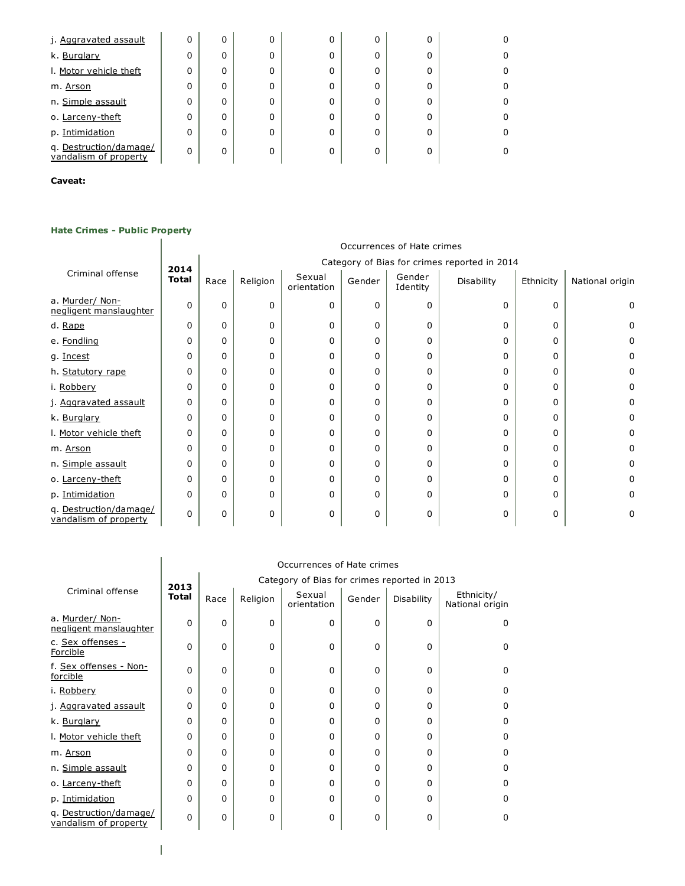| j. Aggravated assault                           | 0 | 0        | 0 | 0 | 0 | 0 |   |
|-------------------------------------------------|---|----------|---|---|---|---|---|
| k. Burglary                                     | 0 | 0        | 0 | 0 | O | 0 | 0 |
| I. Motor vehicle theft                          | 0 | 0        | 0 | 0 | 0 | 0 | 0 |
| m. Arson                                        | 0 | 0        | 0 | 0 | 0 | O | 0 |
| n. Simple assault                               | 0 | 0        | 0 | 0 | 0 | 0 | 0 |
| o. Larceny-theft                                | 0 | 0        | 0 | 0 | 0 | 0 | 0 |
| p. Intimidation                                 | 0 | 0        | 0 | 0 | O | O | 0 |
| q. Destruction/damage/<br>vandalism of property | 0 | $\Omega$ | 0 | 0 | 0 |   | 0 |

### Caveat:

### **Hate Crimes - Public Property**

#### Occurrences of Hate crimes Criminal offense 2014 Total Category of Bias for crimes reported in 2014 Race  $R$ eligion Sexual orientation Gender Gender Identity Disability  $\vert$  Ethnicity  $\vert$  National origin a. Murder/ Nonnegligent [manslaughter](javascript:openglossary(105)) 0 0 0 0 0 0 0 0 0 d. <u>[Rape](javascript:openglossary(150))</u> | 0 | 0 | 0 | 0 | 0 | 0 | 0 | 0 e. <u>[Fondling](javascript:openglossary(149))</u> | 0 | 0 | 0 | 0 | 0 | 0 | 0 0 g. <u>[Incest](javascript:openglossary(147))</u> | 0 | 0 | 0 | 0 | 0 | 0 | 0 | 0 h. [Statutory](javascript:openglossary(148)) rape 0 0 0 0 0 0 0 0 0 i. [Robbery](javascript:openglossary(117)) 0 0 0 0 0 0 0 0 0 j. [Aggravated](javascript:openglossary(90)) assault 0 0 0 0 0 0 0 0 0 k. [Burglary](javascript:openglossary(91)) 0 0 0 0 0 0 0 0 0 l. Motor [vehicle](javascript:openglossary(92)) theft 0 0 0 0 0 0 0 0 0 m. <u>[Arson](javascript:openglossary(93))</u> | 0 | 0 | 0 | 0 | 0 | 0 | 0 n. Simple [assault](javascript:openglossary(127))  $\begin{vmatrix} 0 & 0 & 0 \\ 0 & 0 & 0 \end{vmatrix}$   $\begin{vmatrix} 0 & 0 & 0 \\ 0 & 0 & 0 \end{vmatrix}$   $\begin{vmatrix} 0 & 0 & 0 \\ 0 & 0 & 0 \end{vmatrix}$   $\begin{vmatrix} 0 & 0 & 0 \\ 0 & 0 & 0 \end{vmatrix}$ o. [Larcenytheft](javascript:openglossary(126)) 0 0 0 0 0 0 0 0 0 p. [Intimidation](javascript:openglossary(128)) 0 0 0 0 0 0 0 0 0 q. [Destruction/damage/](javascript:openglossary(129)) vandalism of property 0 0 0 0 0 0 0 0 0

|                                                 | Occurrences of Hate crimes |                                              |          |                       |        |            |                               |
|-------------------------------------------------|----------------------------|----------------------------------------------|----------|-----------------------|--------|------------|-------------------------------|
|                                                 | 2013                       | Category of Bias for crimes reported in 2013 |          |                       |        |            |                               |
| Criminal offense                                | <b>Total</b>               | Race                                         | Religion | Sexual<br>orientation | Gender | Disability | Ethnicity/<br>National origin |
| a. Murder/ Non-<br>negligent manslaughter       | 0                          | $\Omega$                                     | $\Omega$ | $\Omega$              | 0      | $\Omega$   | 0                             |
| c. Sex offenses -<br>Forcible                   | $\Omega$                   | $\Omega$                                     | 0        | $\Omega$              | 0      | 0          | U                             |
| f. Sex offenses - Non-<br>forcible              | 0                          | 0                                            | 0        | 0                     | 0      | 0          | 0                             |
| i. Robbery                                      | 0                          | $\Omega$                                     | 0        | $\Omega$              | 0      | 0          | 0                             |
| j. Aggravated assault                           | 0                          | 0                                            | 0        | 0                     | 0      | $\Omega$   | ŋ                             |
| k. Burglary                                     | 0                          | 0                                            | 0        | 0                     | 0      | O          | n                             |
| I. Motor vehicle theft                          | 0                          | 0                                            | $\Omega$ | 0                     | 0      | O          | n                             |
| m. Arson                                        | 0                          | U                                            | 0        | <sup>0</sup>          | 0      | O          | ŋ                             |
| n. Simple assault                               | 0                          | 0                                            | 0        | <sup>0</sup>          | 0      | O          | n                             |
| o. Larceny-theft                                | 0                          | 0                                            | 0        | <sup>0</sup>          | 0      | O          | n                             |
| p. Intimidation                                 | 0                          | 0                                            | 0        | 0                     | 0      | 0          | U                             |
| q. Destruction/damage/<br>vandalism of property | 0                          | 0                                            | 0        | $\Omega$              | 0      | O          | ŋ                             |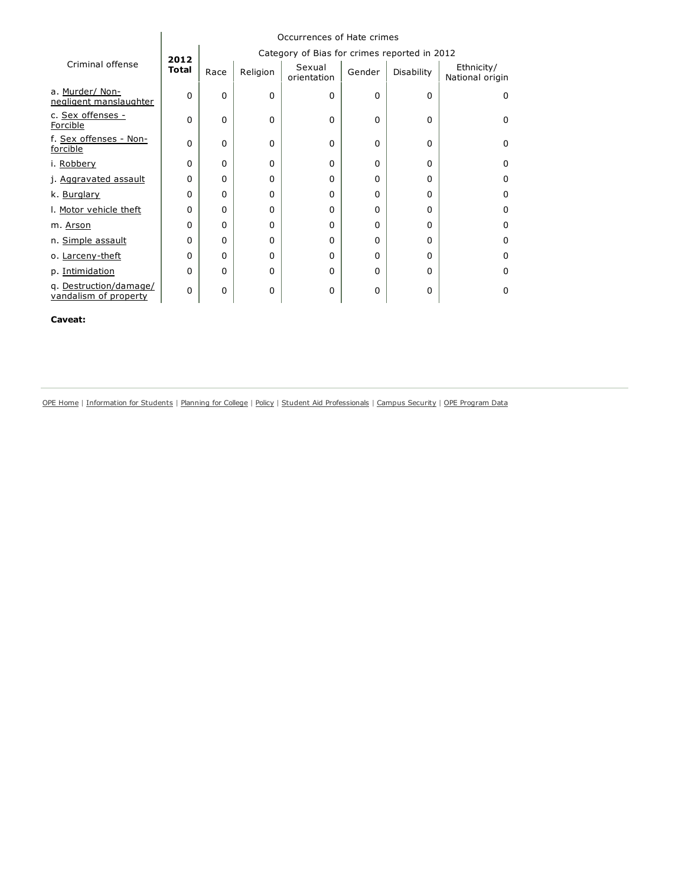|                                                 | Occurrences of Hate crimes |             |          |                                              |        |            |                               |
|-------------------------------------------------|----------------------------|-------------|----------|----------------------------------------------|--------|------------|-------------------------------|
|                                                 | 2012                       |             |          | Category of Bias for crimes reported in 2012 |        |            |                               |
| Criminal offense                                | <b>Total</b>               | Race        | Religion | Sexual<br>orientation                        | Gender | Disability | Ethnicity/<br>National origin |
| a. Murder/ Non-<br>negligent manslaughter       | 0                          | 0           | 0        | 0                                            | 0      | 0          | 0                             |
| c. Sex offenses -<br>Forcible                   | 0                          | $\Omega$    | 0        | 0                                            | 0      | $\Omega$   | $\Omega$                      |
| f. Sex offenses - Non-<br>forcible              | 0                          | $\Omega$    | 0        | 0                                            | 0      | $\Omega$   | $\Omega$                      |
| i. Robbery                                      | 0                          | $\Omega$    | 0        | $\Omega$                                     | 0      | $\Omega$   | $\Omega$                      |
| j. Aggravated assault                           | 0                          | $\Omega$    | 0        | 0                                            | 0      | 0          | $\Omega$                      |
| k. Burglary                                     | 0                          | $\Omega$    | 0        | $\Omega$                                     | 0      | $\Omega$   | $\Omega$                      |
| I. Motor vehicle theft                          | 0                          | $\Omega$    | 0        | $\Omega$                                     | 0      | $\Omega$   | $\Omega$                      |
| m. Arson                                        | 0                          | $\Omega$    | 0        | $\Omega$                                     | 0      | $\Omega$   | $\Omega$                      |
| n. Simple assault                               | 0                          | $\Omega$    | 0        | 0                                            | 0      | 0          | $\Omega$                      |
| o. Larceny-theft                                | 0                          | $\Omega$    | 0        | $\Omega$                                     | 0      | $\Omega$   | $\Omega$                      |
| p. Intimidation                                 | 0                          | $\Omega$    | 0        | 0                                            | 0      | $\Omega$   | $\Omega$                      |
| q. Destruction/damage/<br>vandalism of property | 0                          | $\mathbf 0$ | 0        | 0                                            | 0      | 0          | $\Omega$                      |

Caveat:

OPE [Home](http://www.ed.gov/about/offices/list/ope/index.html) | [Information](http://www2.ed.gov/students/prep/college/index.html) for Students | [Planning](http://www.ed.gov/about/offices/list/ope/plan.html) for College | [Policy](http://www.ed.gov/about/offices/list/ope/policy.html) | Student Aid [Professionals](http://www.ed.gov/about/offices/list/fsa/index.html) | Campus [Security](http://www.ed.gov/admins/lead/safety/campus.html) | OPE [Program](http://www.ed.gov/finaid/prof/resources/data/ope.html) Data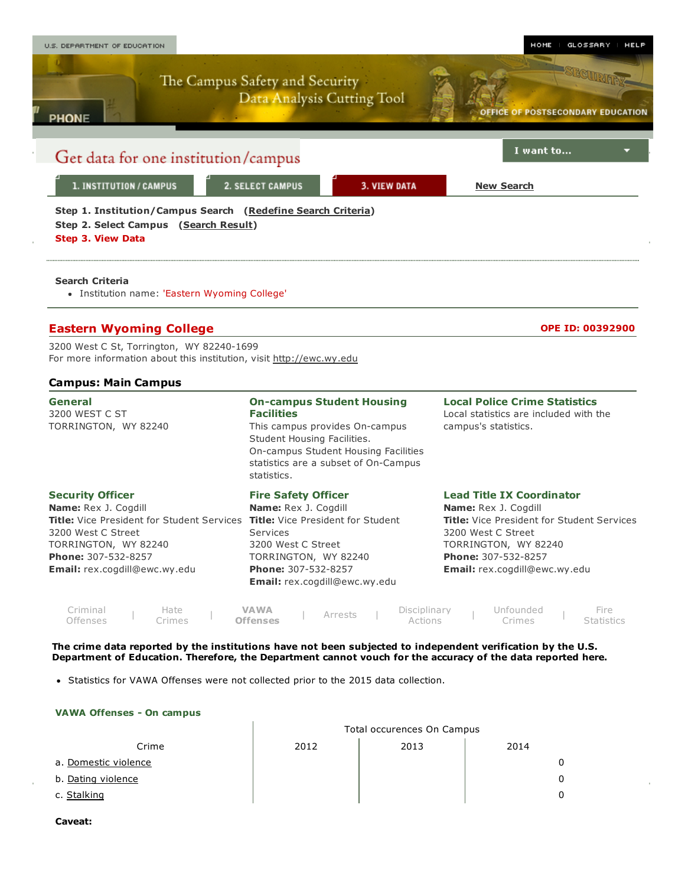

Department of Education. Therefore, the Department cannot vouch for the accuracy of the data reported here.

• Statistics for VAWA Offenses were not collected prior to the 2015 data collection.

#### VAWA Offenses - On campus

|                      | Total occurences On Campus |      |              |  |
|----------------------|----------------------------|------|--------------|--|
| Crime                | 2012                       | 2013 | 2014         |  |
| a. Domestic violence |                            |      | 0            |  |
| b. Dating violence   |                            |      | $\mathbf{0}$ |  |
| c. Stalking          |                            |      | 0            |  |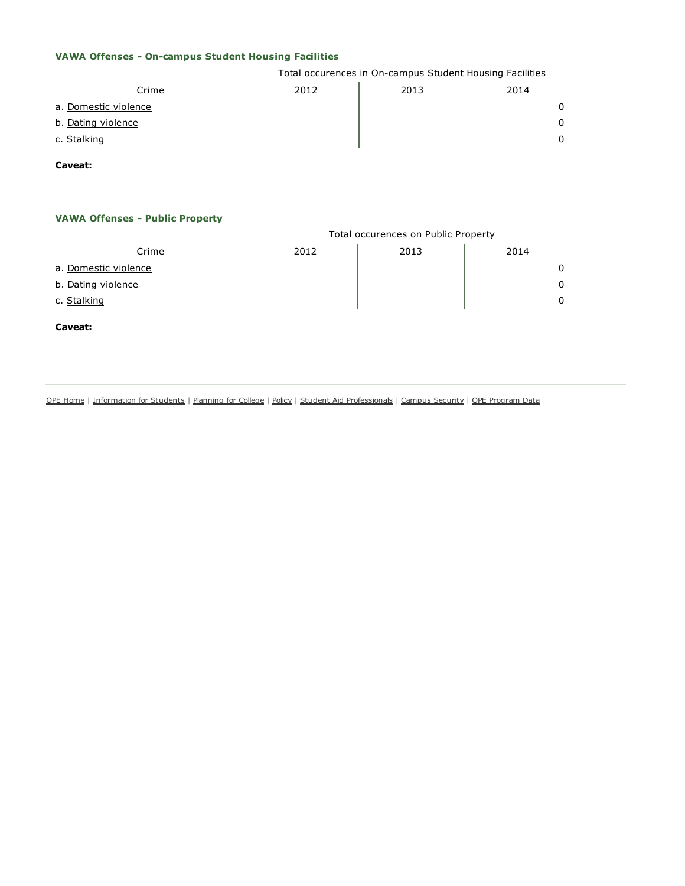#### VAWA Offenses - On-campus Student Housing Facilities  $\mathbf{L}$

|                      | Total occurences in On-campus Student Housing Facilities |      |              |  |
|----------------------|----------------------------------------------------------|------|--------------|--|
| Crime                | 2012                                                     | 2013 | 2014         |  |
| a. Domestic violence |                                                          |      | $\Omega$     |  |
| b. Dating violence   |                                                          |      | $\Omega$     |  |
| c. Stalking          |                                                          |      | <sup>n</sup> |  |
|                      |                                                          |      |              |  |

Caveat:

## **VAWA Offenses - Public Property**

|                      | Total occurences on Public Property |      |      |   |  |
|----------------------|-------------------------------------|------|------|---|--|
| Crime                | 2012                                | 2013 | 2014 |   |  |
| a. Domestic violence |                                     |      |      |   |  |
| b. Dating violence   |                                     |      |      | 0 |  |
| c. Stalking          |                                     |      |      |   |  |
|                      |                                     |      |      |   |  |

Caveat:

OPE [Home](http://www.ed.gov/about/offices/list/ope/index.html) | [Information](http://www2.ed.gov/students/prep/college/index.html) for Students | [Planning](http://www.ed.gov/about/offices/list/ope/plan.html) for College | [Policy](http://www.ed.gov/about/offices/list/ope/policy.html) | Student Aid [Professionals](http://www.ed.gov/about/offices/list/fsa/index.html) | Campus [Security](http://www.ed.gov/admins/lead/safety/campus.html) | OPE [Program](http://www.ed.gov/finaid/prof/resources/data/ope.html) Data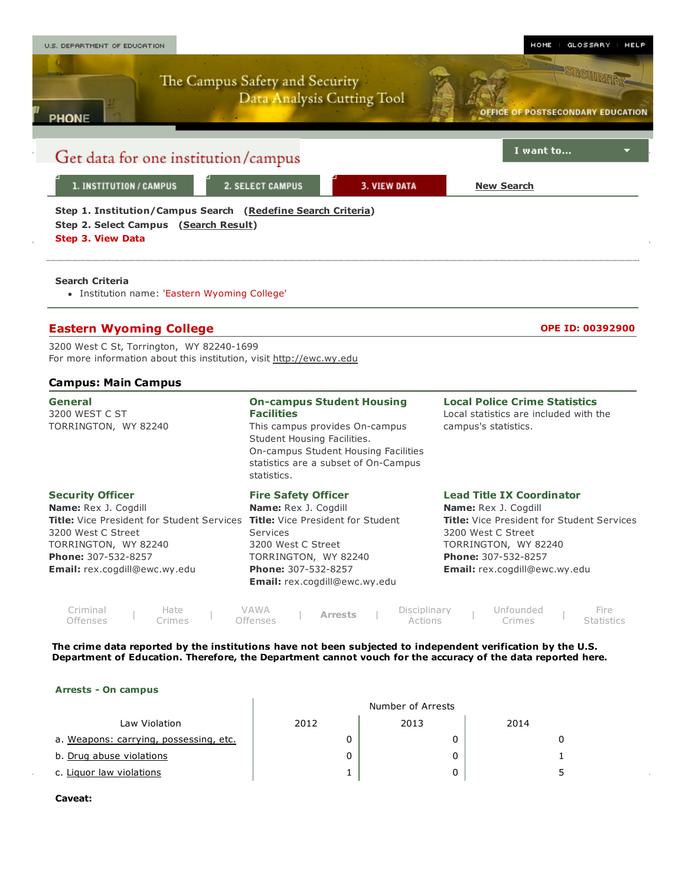

#### Arrests - On campus

| Law Violation                          | 2012 | 2013 | 2014 |
|----------------------------------------|------|------|------|
| a. Weapons: carrying, possessing, etc. |      |      |      |
| b. Drug abuse violations               |      | 0    |      |
| c. Liguor law violations               |      | 0    |      |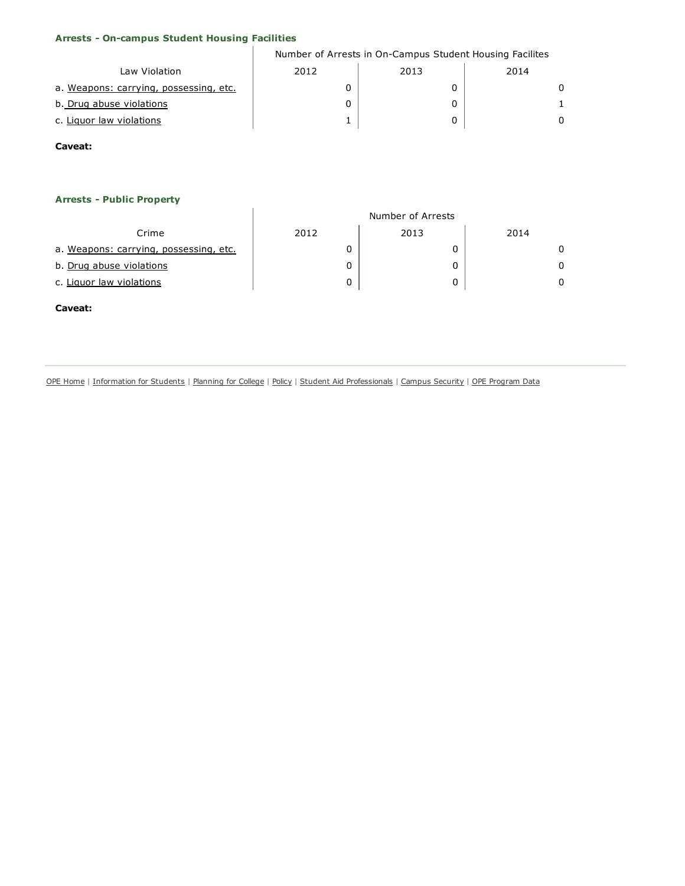| <b>Arrests - On-campus Student Housing Facilities</b> |                                                          |                   |          |  |
|-------------------------------------------------------|----------------------------------------------------------|-------------------|----------|--|
|                                                       | Number of Arrests in On-Campus Student Housing Facilites |                   |          |  |
| Law Violation                                         | 2012                                                     | 2013              | 2014     |  |
| a. Weapons: carrying, possessing, etc.                | 0                                                        | 0                 | $\Omega$ |  |
| b. Drug abuse violations                              | 0                                                        | 0                 | 1        |  |
| c. Liquor law violations                              | 1                                                        | 0                 | $\Omega$ |  |
| Caveat:                                               |                                                          |                   |          |  |
|                                                       |                                                          |                   |          |  |
|                                                       |                                                          |                   |          |  |
| <b>Arrests - Public Property</b>                      |                                                          |                   |          |  |
|                                                       |                                                          | Number of Arrests |          |  |
| Crime                                                 | 2012                                                     | 2013              | 2014     |  |
| a. Weapons: carrying, possessing, etc.                | 0                                                        | 0                 | $\Omega$ |  |
| b. Drug abuse violations                              | 0                                                        | 0                 | $\Omega$ |  |
| c. Liquor law violations                              | 0                                                        | 0                 | $\Omega$ |  |
| Caveat:                                               |                                                          |                   |          |  |

OPE [Home](http://www.ed.gov/about/offices/list/ope/index.html) | [Information](http://www2.ed.gov/students/prep/college/index.html) for Students | [Planning](http://www.ed.gov/about/offices/list/ope/plan.html) for College | [Policy](http://www.ed.gov/about/offices/list/ope/policy.html) | Student Aid [Professionals](http://www.ed.gov/about/offices/list/fsa/index.html) | Campus [Security](http://www.ed.gov/admins/lead/safety/campus.html) | OPE [Program](http://www.ed.gov/finaid/prof/resources/data/ope.html) Data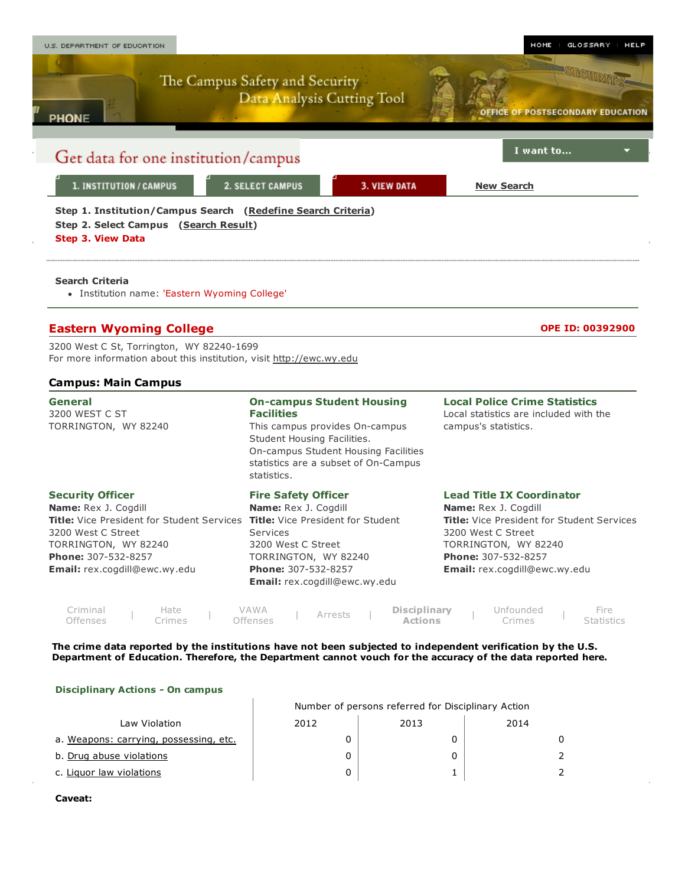

#### Disciplinary Actions - On campus

|                                        | Number of persons referred for Disciplinary Action |      |      |  |  |
|----------------------------------------|----------------------------------------------------|------|------|--|--|
| Law Violation                          | 2012                                               | 2013 | 2014 |  |  |
| a. Weapons: carrying, possessing, etc. |                                                    |      |      |  |  |
| b. Drug abuse violations               |                                                    |      |      |  |  |
| c. Liquor law violations               |                                                    |      |      |  |  |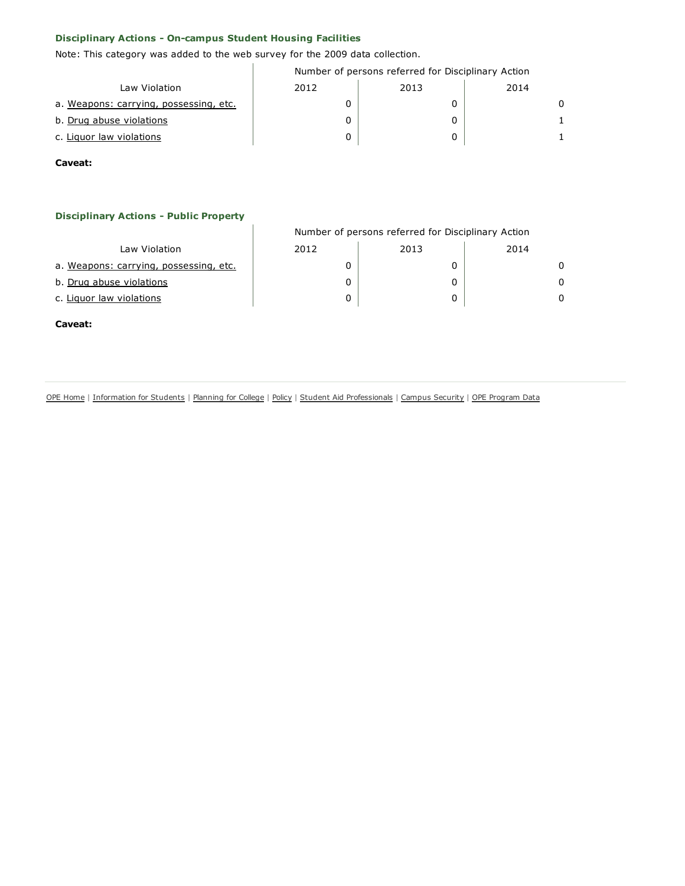# Disciplinary Actions - On-campus Student Housing Facilities

Note: This category was added to the web survey for the 2009 data collection.

 $\mathbf{I}$ 

|                                        | Number of persons referred for Disciplinary Action |      |      |  |  |
|----------------------------------------|----------------------------------------------------|------|------|--|--|
| Law Violation                          | 2012                                               | 2013 | 2014 |  |  |
| a. Weapons: carrying, possessing, etc. |                                                    |      | 0    |  |  |
| b. Drug abuse violations               |                                                    |      |      |  |  |
| c. Liquor law violations               |                                                    |      |      |  |  |

Caveat:

# **Disciplinary Actions - Public Property**

|                                        | Number of persons referred for Disciplinary Action |      |      |   |  |
|----------------------------------------|----------------------------------------------------|------|------|---|--|
| Law Violation                          | 2012                                               | 2013 | 2014 |   |  |
| a. Weapons: carrying, possessing, etc. |                                                    |      |      | 0 |  |
| b. Drug abuse violations               |                                                    |      |      | 0 |  |
| c. Liguor law violations               |                                                    |      |      | 0 |  |

#### Caveat:

OPE [Home](http://www.ed.gov/about/offices/list/ope/index.html) | [Information](http://www2.ed.gov/students/prep/college/index.html) for Students | [Planning](http://www.ed.gov/about/offices/list/ope/plan.html) for College | [Policy](http://www.ed.gov/about/offices/list/ope/policy.html) | Student Aid [Professionals](http://www.ed.gov/about/offices/list/fsa/index.html) | Campus [Security](http://www.ed.gov/admins/lead/safety/campus.html) | OPE [Program](http://www.ed.gov/finaid/prof/resources/data/ope.html) Data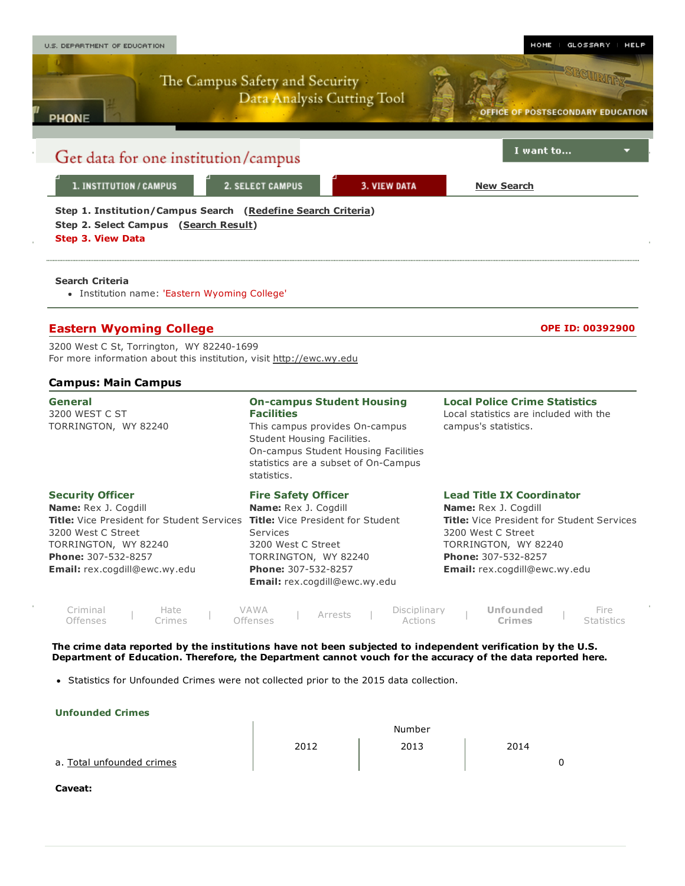

• Statistics for Unfounded Crimes were not collected prior to the 2015 data collection.

| Confound Cannes           |        |      |      |  |  |  |
|---------------------------|--------|------|------|--|--|--|
|                           | Number |      |      |  |  |  |
|                           | 2012   | 2013 | 2014 |  |  |  |
| a. Total unfounded crimes |        |      |      |  |  |  |
|                           |        |      |      |  |  |  |

Caveat:

Unfounded Crimes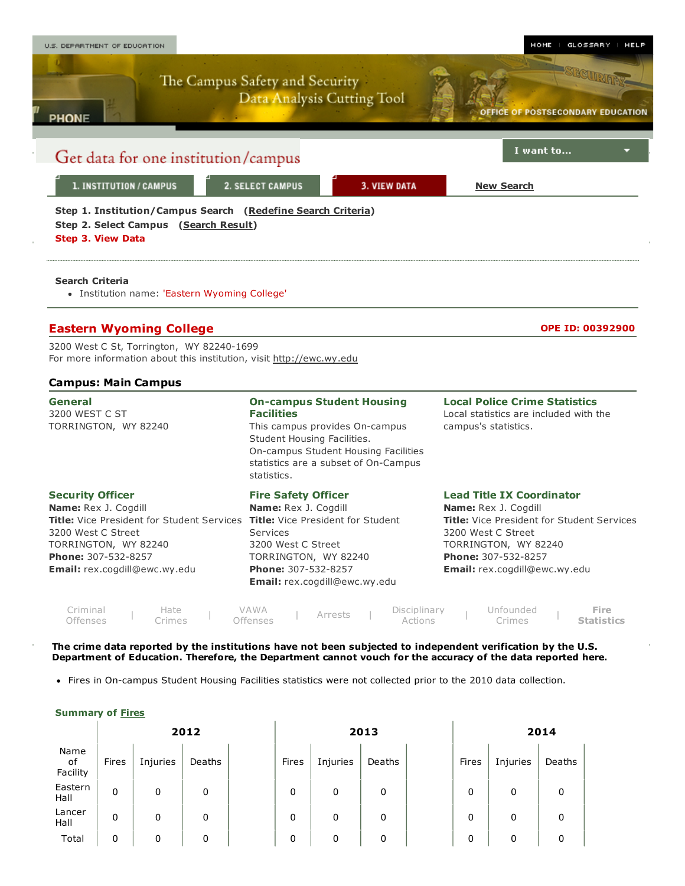

• Fires in On-campus Student Housing Facilities statistics were not collected prior to the 2010 data collection.

### Summary of [Fires](javascript:openglossary(131))

|                        | 2012  |          |        |  | 2013  |          |        |  | 2014  |          |        |
|------------------------|-------|----------|--------|--|-------|----------|--------|--|-------|----------|--------|
| Name<br>of<br>Facility | Fires | Injuries | Deaths |  | Fires | Injuries | Deaths |  | Fires | Injuries | Deaths |
| Eastern<br>Hall        | 0     | 0        | 0      |  | 0     | 0        | 0      |  | 0     | 0        | 0      |
| Lancer<br>Hall         | 0     | 0        | 0      |  | 0     | 0        | 0      |  | 0     | 0        | 0      |
| Total                  | 0     | 0        | 0      |  | 0     | 0        | 0      |  | 0     | 0        | 0      |